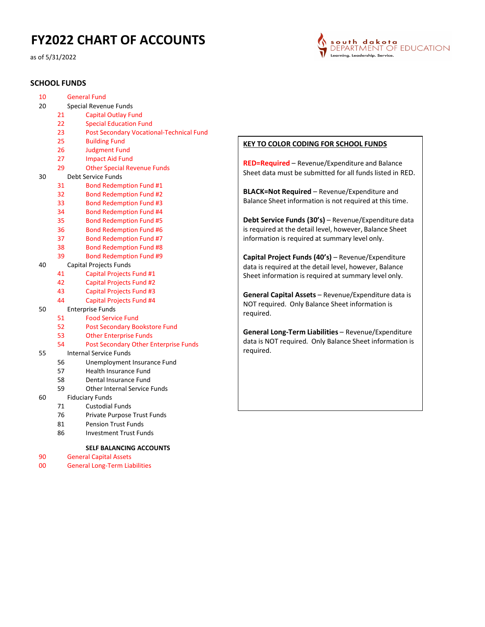# FY2022 CHART OF ACCOUNTS

as of 5/31/2022

## SCHOOL FUNDS



| 10 |    | <b>General Fund</b>                          |
|----|----|----------------------------------------------|
| 20 |    | Special Revenue Funds                        |
|    | 21 | <b>Capital Outlay Fund</b>                   |
|    | 22 | <b>Special Education Fund</b>                |
|    | 23 | Post Secondary Vocational-Technical Fund     |
|    | 25 | <b>Building Fund</b>                         |
|    | 26 | <b>Judgment Fund</b>                         |
|    | 27 | <b>Impact Aid Fund</b>                       |
|    | 29 | <b>Other Special Revenue Funds</b>           |
| 30 |    | Debt Service Funds                           |
|    | 31 | <b>Bond Redemption Fund #1</b>               |
|    | 32 | <b>Bond Redemption Fund #2</b>               |
|    | 33 | <b>Bond Redemption Fund #3</b>               |
|    | 34 | <b>Bond Redemption Fund #4</b>               |
|    | 35 | <b>Bond Redemption Fund #5</b>               |
|    | 36 | <b>Bond Redemption Fund #6</b>               |
|    | 37 | <b>Bond Redemption Fund #7</b>               |
|    | 38 | <b>Bond Redemption Fund #8</b>               |
|    | 39 | <b>Bond Redemption Fund #9</b>               |
| 40 |    | Capital Projects Funds                       |
|    | 41 | <b>Capital Projects Fund #1</b>              |
|    | 42 | <b>Capital Projects Fund #2</b>              |
|    | 43 | <b>Capital Projects Fund #3</b>              |
|    | 44 | Capital Projects Fund #4                     |
| 50 |    | <b>Enterprise Funds</b>                      |
|    | 51 | <b>Food Service Fund</b>                     |
|    | 52 | <b>Post Secondary Bookstore Fund</b>         |
|    | 53 | <b>Other Enterprise Funds</b>                |
|    | 54 | <b>Post Secondary Other Enterprise Funds</b> |
| 55 |    | <b>Internal Service Funds</b>                |
|    | 56 | Unemployment Insurance Fund                  |
|    | 57 | <b>Health Insurance Fund</b>                 |
|    | 58 | Dental Insurance Fund                        |
|    | 59 | Other Internal Service Funds                 |
| 60 |    | <b>Fiduciary Funds</b>                       |
|    | 71 | <b>Custodial Funds</b>                       |
|    | 76 | Private Purpose Trust Funds                  |
|    | 81 | <b>Pension Trust Funds</b>                   |
|    | 86 | <b>Investment Trust Funds</b>                |

#### SELF BALANCING ACCOUNTS

- General Capital Assets
- General Long-Term Liabilities

#### KEY TO COLOR CODING FOR SCHOOL FUNDS

RED=Required – Revenue/Expenditure and Balance Sheet data must be submitted for all funds listed in RED.

BLACK=Not Required – Revenue/Expenditure and Balance Sheet information is not required at this time.

Debt Service Funds (30's) – Revenue/Expenditure data is required at the detail level, however, Balance Sheet information is required at summary level only.

Capital Project Funds (40's) – Revenue/Expenditure data is required at the detail level, however, Balance Sheet information is required at summary level only.

General Capital Assets – Revenue/Expenditure data is NOT required. Only Balance Sheet information is required.

General Long-Term Liabilities – Revenue/Expenditure data is NOT required. Only Balance Sheet information is required.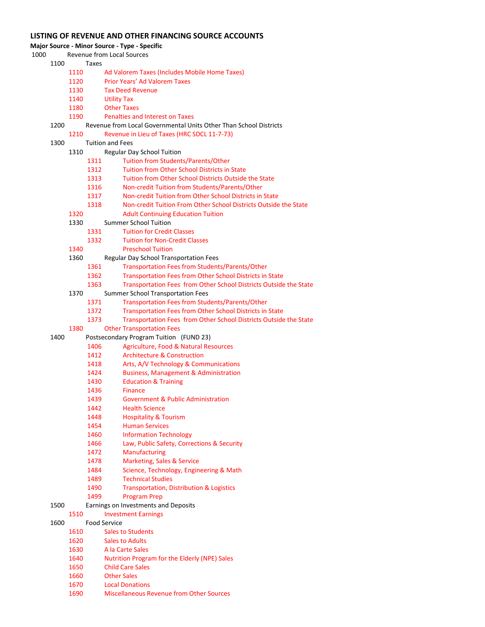#### LISTING OF REVENUE AND OTHER FINANCING SOURCE ACCOUNTS

Major Source - Minor Source - Type - Specific

| 1000 |      | Revenue from Local Sources |  |
|------|------|----------------------------|--|
|      | 1100 | Taxes                      |  |

- Ad Valorem Taxes (Includes Mobile Home Taxes)
- Prior Years' Ad Valorem Taxes
- Tax Deed Revenue
- Utility Tax
- Other Taxes
- Penalties and Interest on Taxes
- Revenue from Local Governmental Units Other Than School Districts
	- Revenue in Lieu of Taxes (HRC SDCL 11-7-73)
- Tuition and Fees
	- Regular Day School Tuition
		- Tuition from Students/Parents/Other
		- Tuition from Other School Districts in State
		- Tuition from Other School Districts Outside the State
		- Non-credit Tuition from Students/Parents/Other
		- Non-credit Tuition from Other School Districts in State
		- Non-credit Tuition From Other School Districts Outside the State
	- Adult Continuing Education Tuition
	- Summer School Tuition
		- Tuition for Credit Classes
		- Tuition for Non-Credit Classes
	- Preschool Tuition
	- Regular Day School Transportation Fees
		- Transportation Fees from Students/Parents/Other
			- Transportation Fees from Other School Districts in State
		- Transportation Fees from Other School Districts Outside the State
	- Summer School Transportation Fees
		- Transportation Fees from Students/Parents/Other
		- Transportation Fees from Other School Districts in State
		- Transportation Fees from Other School Districts Outside the State
	- Other Transportation Fees
- Postsecondary Program Tuition (FUND 23)
	- Agriculture, Food & Natural Resources
	- Architecture & Construction
	- 1418 Arts, A/V Technology & Communications
	- Business, Management & Administration
	- Education & Training
	- Finance
	- Government & Public Administration
	- Health Science
	- Hospitality & Tourism
	- Human Services
	- 1460 Information Technology
	- Law, Public Safety, Corrections & Security
	- Manufacturing
	- Marketing, Sales & Service
	- Science, Technology, Engineering & Math
	- Technical Studies
	- Transportation, Distribution & Logistics
	- Program Prep

#### Earnings on Investments and Deposits

- Investment Earnings
- Food Service
	- 1610 Sales to Students
	- Sales to Adults
	- A la Carte Sales
	- Nutrition Program for the Elderly (NPE) Sales
	- Child Care Sales
	- Other Sales
	- Local Donations
	- Miscellaneous Revenue from Other Sources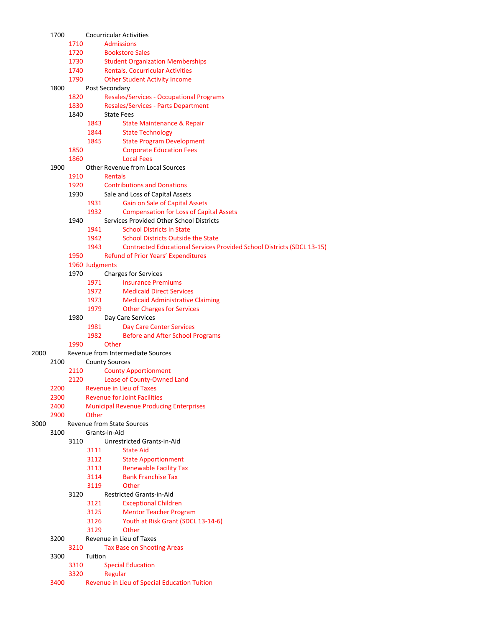|      | 1700 |      | Cocurricular Activities                                                               |
|------|------|------|---------------------------------------------------------------------------------------|
|      |      | 1710 | <b>Admissions</b>                                                                     |
|      |      | 1720 | <b>Bookstore Sales</b>                                                                |
|      |      | 1730 | <b>Student Organization Memberships</b>                                               |
|      |      | 1740 | <b>Rentals, Cocurricular Activities</b>                                               |
|      |      | 1790 | <b>Other Student Activity Income</b>                                                  |
|      | 1800 |      | Post Secondary                                                                        |
|      |      | 1820 | <b>Resales/Services - Occupational Programs</b>                                       |
|      |      | 1830 | <b>Resales/Services - Parts Department</b>                                            |
|      |      | 1840 | <b>State Fees</b>                                                                     |
|      |      |      | 1843<br>State Maintenance & Repair<br>1844<br><b>State Technology</b>                 |
|      |      |      | 1845<br><b>State Program Development</b>                                              |
|      |      | 1850 | <b>Corporate Education Fees</b>                                                       |
|      |      | 1860 | <b>Local Fees</b>                                                                     |
|      | 1900 |      | Other Revenue from Local Sources                                                      |
|      |      | 1910 | <b>Rentals</b>                                                                        |
|      |      | 1920 | <b>Contributions and Donations</b>                                                    |
|      |      | 1930 | Sale and Loss of Capital Assets                                                       |
|      |      |      | 1931<br>Gain on Sale of Capital Assets                                                |
|      |      |      | 1932<br><b>Compensation for Loss of Capital Assets</b>                                |
|      |      | 1940 | Services Provided Other School Districts                                              |
|      |      |      | <b>School Districts in State</b><br>1941                                              |
|      |      |      | 1942<br><b>School Districts Outside the State</b>                                     |
|      |      |      | 1943<br><b>Contracted Educational Services Provided School Districts (SDCL 13-15)</b> |
|      |      | 1950 | Refund of Prior Years' Expenditures                                                   |
|      |      |      | 1960 Judgments                                                                        |
|      |      | 1970 | <b>Charges for Services</b>                                                           |
|      |      |      | 1971<br><b>Insurance Premiums</b>                                                     |
|      |      |      | 1972<br><b>Medicaid Direct Services</b><br>1973                                       |
|      |      |      | <b>Medicaid Administrative Claiming</b><br>1979<br><b>Other Charges for Services</b>  |
|      |      | 1980 | Day Care Services                                                                     |
|      |      |      | 1981<br><b>Day Care Center Services</b>                                               |
|      |      |      | 1982<br><b>Before and After School Programs</b>                                       |
|      |      | 1990 | Other                                                                                 |
| 2000 |      |      | Revenue from Intermediate Sources                                                     |
|      | 2100 |      | <b>County Sources</b>                                                                 |
|      |      | 2110 | <b>County Apportionment</b>                                                           |
|      |      | 2120 | Lease of County-Owned Land                                                            |
|      | 2200 |      | <b>Revenue in Lieu of Taxes</b>                                                       |
|      | 2300 |      | <b>Revenue for Joint Facilities</b>                                                   |
|      | 2400 |      | <b>Municipal Revenue Producing Enterprises</b><br>Other                               |
| 3000 | 2900 |      | <b>Revenue from State Sources</b>                                                     |
|      | 3100 |      | Grants-in-Aid                                                                         |
|      |      | 3110 | Unrestricted Grants-in-Aid                                                            |
|      |      |      | 3111<br><b>State Aid</b>                                                              |
|      |      |      | 3112<br><b>State Apportionment</b>                                                    |
|      |      |      | <b>Renewable Facility Tax</b><br>3113                                                 |
|      |      |      | 3114<br><b>Bank Franchise Tax</b>                                                     |
|      |      |      | 3119<br>Other                                                                         |
|      |      | 3120 | Restricted Grants-in-Aid                                                              |
|      |      |      | 3121<br><b>Exceptional Children</b>                                                   |
|      |      |      | 3125<br><b>Mentor Teacher Program</b>                                                 |
|      |      |      | 3126<br>Youth at Risk Grant (SDCL 13-14-6)                                            |
|      |      |      | Other<br>3129                                                                         |
|      | 3200 |      | Revenue in Lieu of Taxes                                                              |
|      | 3300 | 3210 | <b>Tax Base on Shooting Areas</b><br>Tuition                                          |
|      |      | 3310 | <b>Special Education</b>                                                              |
|      |      | 3320 | Regular                                                                               |
|      | 3400 |      | Revenue in Lieu of Special Education Tuition                                          |
|      |      |      |                                                                                       |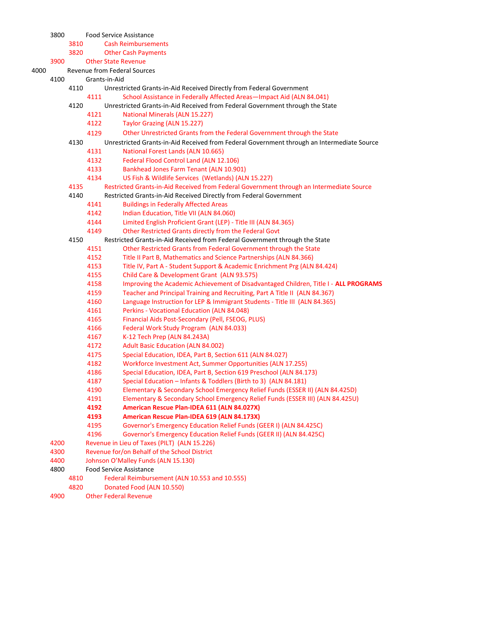Food Service Assistance Cash Reimbursements Other Cash Payments Other State Revenue Revenue from Federal Sources Grants-in-Aid Unrestricted Grants-in-Aid Received Directly from Federal Government School Assistance in Federally Affected Areas—Impact Aid (ALN 84.041) Unrestricted Grants-in-Aid Received from Federal Government through the State National Minerals (ALN 15.227) Taylor Grazing (ALN 15.227) Other Unrestricted Grants from the Federal Government through the State Unrestricted Grants-in-Aid Received from Federal Government through an Intermediate Source National Forest Lands (ALN 10.665) Federal Flood Control Land (ALN 12.106) Bankhead Jones Farm Tenant (ALN 10.901) US Fish & Wildlife Services (Wetlands) (ALN 15.227) Restricted Grants-in-Aid Received from Federal Government through an Intermediate Source Restricted Grants-in-Aid Received Directly from Federal Government Buildings in Federally Affected Areas Indian Education, Title VII (ALN 84.060) Limited English Proficient Grant (LEP) - Title III (ALN 84.365) Other Restricted Grants directly from the Federal Govt Restricted Grants-in-Aid Received from Federal Government through the State Other Restricted Grants from Federal Government through the State Title II Part B, Mathematics and Science Partnerships (ALN 84.366) Title IV, Part A - Student Support & Academic Enrichment Prg (ALN 84.424) Child Care & Development Grant (ALN 93.575) 4158 Improving the Academic Achievement of Disadvantaged Children, Title I - ALL PROGRAMS Teacher and Principal Training and Recruiting, Part A Title II (ALN 84.367) Language Instruction for LEP & Immigrant Students - Title III (ALN 84.365) Perkins - Vocational Education (ALN 84.048) Financial Aids Post-Secondary (Pell, FSEOG, PLUS) Federal Work Study Program (ALN 84.033) K-12 Tech Prep (ALN 84.243A) Adult Basic Education (ALN 84.002) Special Education, IDEA, Part B, Section 611 (ALN 84.027) Workforce Investment Act, Summer Opportunities (ALN 17.255) Special Education, IDEA, Part B, Section 619 Preschool (ALN 84.173) Special Education – Infants & Toddlers (Birth to 3) (ALN 84.181) Elementary & Secondary School Emergency Relief Funds (ESSER II) (ALN 84.425D) Elementary & Secondary School Emergency Relief Funds (ESSER III) (ALN 84.425U) American Rescue Plan-IDEA 611 (ALN 84.027X) American Rescue Plan-IDEA 619 (ALN 84.173X) Governor's Emergency Education Relief Funds (GEER I) (ALN 84.425C) Governor's Emergency Education Relief Funds (GEER II) (ALN 84.425C) Revenue in Lieu of Taxes (PILT) (ALN 15.226) Revenue for/on Behalf of the School District Johnson O'Malley Funds (ALN 15.130) Food Service Assistance Federal Reimbursement (ALN 10.553 and 10.555) Donated Food (ALN 10.550) Other Federal Revenue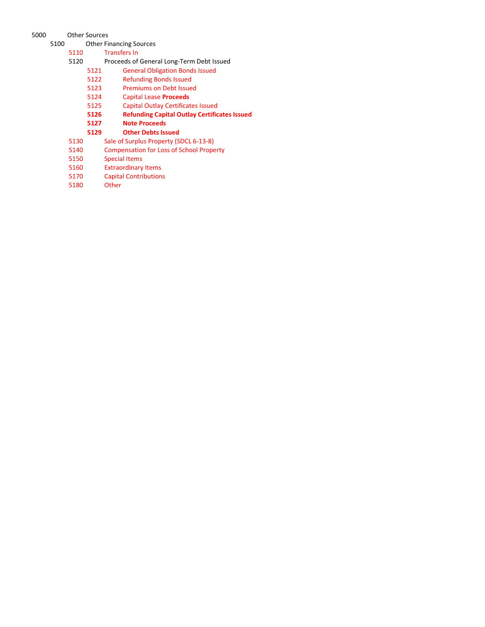## Other Sources

Other Financing Sources

| 5110 |      | <b>Transfers In</b>                                 |
|------|------|-----------------------------------------------------|
| 5120 |      | Proceeds of General Long-Term Debt Issued           |
|      | 5121 | <b>General Obligation Bonds Issued</b>              |
|      | 5122 | <b>Refunding Bonds Issued</b>                       |
|      | 5123 | <b>Premiums on Debt Issued</b>                      |
|      | 5124 | <b>Capital Lease Proceeds</b>                       |
|      | 5125 | <b>Capital Outlay Certificates Issued</b>           |
|      | 5126 | <b>Refunding Capital Outlay Certificates Issued</b> |
|      | 5127 | <b>Note Proceeds</b>                                |
|      | 5129 | <b>Other Debts Issued</b>                           |
| 5130 |      | Sale of Surplus Property (SDCL 6-13-8)              |
| 5140 |      | <b>Compensation for Loss of School Property</b>     |
| 5150 |      | <b>Special Items</b>                                |
| 5160 |      | <b>Extraordinary Items</b>                          |
| 5170 |      | <b>Capital Contributions</b>                        |
| 5180 |      | Other                                               |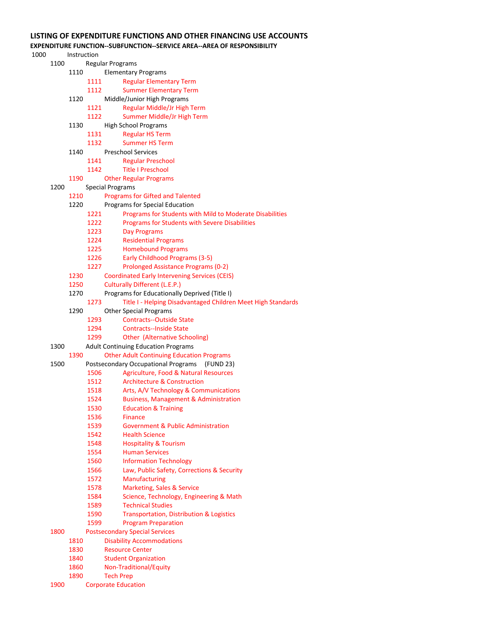## LISTING OF EXPENDITURE FUNCTIONS AND OTHER FINANCING USE ACCOUNTS

### EXPENDITURE FUNCTION--SUBFUNCTION--SERVICE AREA--AREA OF RESPONSIBILITY

| 1000 |      | Instruction |      |                                                                                               |
|------|------|-------------|------|-----------------------------------------------------------------------------------------------|
|      | 1100 |             |      | <b>Regular Programs</b>                                                                       |
|      |      | 1110        |      | <b>Elementary Programs</b>                                                                    |
|      |      |             | 1111 | <b>Regular Elementary Term</b>                                                                |
|      |      |             | 1112 | <b>Summer Elementary Term</b>                                                                 |
|      |      | 1120        |      | Middle/Junior High Programs                                                                   |
|      |      |             | 1121 | Regular Middle/Jr High Term                                                                   |
|      |      |             | 1122 | Summer Middle/Jr High Term                                                                    |
|      |      | 1130        |      | High School Programs                                                                          |
|      |      |             | 1131 | <b>Regular HS Term</b>                                                                        |
|      |      |             | 1132 | <b>Summer HS Term</b>                                                                         |
|      |      | 1140        |      | <b>Preschool Services</b>                                                                     |
|      |      |             | 1141 | <b>Regular Preschool</b>                                                                      |
|      |      |             | 1142 | <b>Title I Preschool</b>                                                                      |
|      |      | 1190        |      | <b>Other Regular Programs</b>                                                                 |
|      | 1200 |             |      | <b>Special Programs</b>                                                                       |
|      |      | 1210        |      | <b>Programs for Gifted and Talented</b>                                                       |
|      |      | 1220        |      | Programs for Special Education                                                                |
|      |      |             | 1221 | Programs for Students with Mild to Moderate Disabilities                                      |
|      |      |             | 1222 | Programs for Students with Severe Disabilities                                                |
|      |      |             | 1223 | <b>Day Programs</b>                                                                           |
|      |      |             | 1224 | <b>Residential Programs</b>                                                                   |
|      |      |             | 1225 | <b>Homebound Programs</b>                                                                     |
|      |      |             | 1226 | Early Childhood Programs (3-5)                                                                |
|      |      |             | 1227 | Prolonged Assistance Programs (0-2)                                                           |
|      |      | 1230        |      | <b>Coordinated Early Intervening Services (CEIS)</b>                                          |
|      |      | 1250        |      | <b>Culturally Different (L.E.P.)</b>                                                          |
|      |      | 1270        |      | Programs for Educationally Deprived (Title I)                                                 |
|      |      |             | 1273 |                                                                                               |
|      |      | 1290        |      | Title I - Helping Disadvantaged Children Meet High Standards<br><b>Other Special Programs</b> |
|      |      |             | 1293 | <b>Contracts--Outside State</b>                                                               |
|      |      |             |      |                                                                                               |
|      |      |             | 1294 | <b>Contracts--Inside State</b>                                                                |
|      |      |             | 1299 | Other (Alternative Schooling)                                                                 |
|      | 1300 |             |      | <b>Adult Continuing Education Programs</b>                                                    |
|      |      | 1390        |      | <b>Other Adult Continuing Education Programs</b><br>(FUND 23)                                 |
|      | 1500 |             |      | Postsecondary Occupational Programs<br>Agriculture, Food & Natural Resources                  |
|      |      |             | 1506 | <b>Architecture &amp; Construction</b>                                                        |
|      |      |             | 1512 |                                                                                               |
|      |      |             | 1518 | Arts, A/V Technology & Communications                                                         |
|      |      |             | 1524 | <b>Business, Management &amp; Administration</b>                                              |
|      |      |             | 1530 | <b>Education &amp; Training</b>                                                               |
|      |      |             | 1536 | <b>Finance</b>                                                                                |
|      |      |             | 1539 | <b>Government &amp; Public Administration</b>                                                 |
|      |      |             | 1542 | <b>Health Science</b>                                                                         |
|      |      |             | 1548 | <b>Hospitality &amp; Tourism</b>                                                              |
|      |      |             | 1554 | <b>Human Services</b>                                                                         |
|      |      |             | 1560 | <b>Information Technology</b>                                                                 |
|      |      |             | 1566 | Law, Public Safety, Corrections & Security                                                    |
|      |      |             | 1572 | Manufacturing                                                                                 |
|      |      |             | 1578 | Marketing, Sales & Service                                                                    |
|      |      |             | 1584 | Science, Technology, Engineering & Math                                                       |
|      |      |             | 1589 | <b>Technical Studies</b>                                                                      |
|      |      |             | 1590 | <b>Transportation, Distribution &amp; Logistics</b>                                           |
|      |      |             | 1599 | <b>Program Preparation</b>                                                                    |
|      | 1800 |             |      | <b>Postsecondary Special Services</b>                                                         |
|      |      | 1810        |      | <b>Disability Accommodations</b>                                                              |
|      |      | 1830        |      | <b>Resource Center</b>                                                                        |
|      |      | 1840        |      | <b>Student Organization</b>                                                                   |
|      |      | 1860        |      | Non-Traditional/Equity                                                                        |
|      |      | 1890        |      | <b>Tech Prep</b>                                                                              |
|      | 1900 |             |      | <b>Corporate Education</b>                                                                    |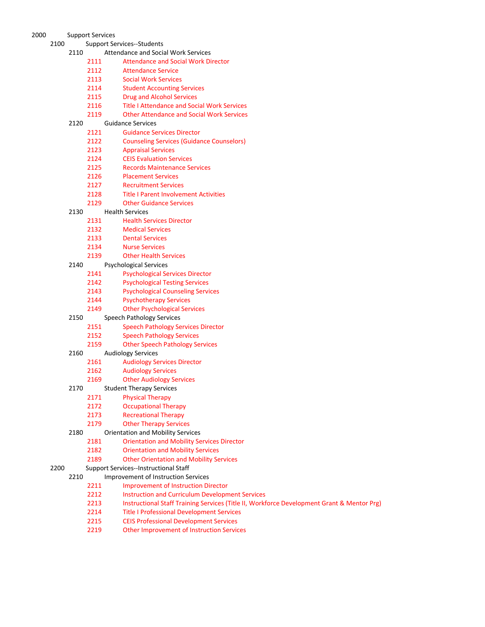| D |      | Support Services |      |                                                            |
|---|------|------------------|------|------------------------------------------------------------|
|   | 2100 |                  |      | <b>Support Services--Students</b>                          |
|   |      | 2110             |      | <b>Attendance and Social Work Services</b>                 |
|   |      |                  | 2111 | <b>Attendance and Social Work Director</b>                 |
|   |      |                  | 2112 | <b>Attendance Service</b>                                  |
|   |      |                  | 2113 | <b>Social Work Services</b>                                |
|   |      |                  | 2114 | <b>Student Accounting Services</b>                         |
|   |      |                  | 2115 | <b>Drug and Alcohol Services</b>                           |
|   |      |                  | 2116 | <b>Title I Attendance and Social Work Services</b>         |
|   |      |                  | 2119 | <b>Other Attendance and Social Work Services</b>           |
|   |      | 2120             |      | <b>Guidance Services</b>                                   |
|   |      |                  | 2121 | <b>Guidance Services Director</b>                          |
|   |      |                  | 2122 | <b>Counseling Services (Guidance Counselors)</b>           |
|   |      |                  | 2123 | <b>Appraisal Services</b>                                  |
|   |      |                  | 2124 | <b>CEIS Evaluation Services</b>                            |
|   |      |                  | 2125 | <b>Records Maintenance Services</b>                        |
|   |      |                  | 2126 | <b>Placement Services</b>                                  |
|   |      |                  | 2127 | <b>Recruitment Services</b>                                |
|   |      |                  | 2128 | <b>Title I Parent Involvement Activities</b>               |
|   |      |                  | 2129 | <b>Other Guidance Services</b>                             |
|   |      | 2130             | 2131 | <b>Health Services</b>                                     |
|   |      |                  | 2132 | <b>Health Services Director</b>                            |
|   |      |                  | 2133 | <b>Medical Services</b><br><b>Dental Services</b>          |
|   |      |                  | 2134 | <b>Nurse Services</b>                                      |
|   |      |                  | 2139 | <b>Other Health Services</b>                               |
|   |      | 2140             |      | <b>Psychological Services</b>                              |
|   |      |                  | 2141 | <b>Psychological Services Director</b>                     |
|   |      |                  | 2142 | <b>Psychological Testing Services</b>                      |
|   |      |                  | 2143 | <b>Psychological Counseling Services</b>                   |
|   |      |                  | 2144 | <b>Psychotherapy Services</b>                              |
|   |      |                  | 2149 | <b>Other Psychological Services</b>                        |
|   |      | 2150             |      | <b>Speech Pathology Services</b>                           |
|   |      |                  | 2151 | <b>Speech Pathology Services Director</b>                  |
|   |      |                  | 2152 | <b>Speech Pathology Services</b>                           |
|   |      |                  | 2159 | <b>Other Speech Pathology Services</b>                     |
|   |      | 2160             |      | <b>Audiology Services</b>                                  |
|   |      |                  | 2161 | <b>Audiology Services Director</b>                         |
|   |      |                  | 2162 | <b>Audiology Services</b>                                  |
|   |      |                  | 2169 | <b>Other Audiology Services</b>                            |
|   |      | 2170             |      | <b>Student Therapy Services</b>                            |
|   |      |                  | 2171 | <b>Physical Therapy</b>                                    |
|   |      |                  | 2172 | <b>Occupational Therapy</b>                                |
|   |      |                  | 2173 | <b>Recreational Therapy</b>                                |
|   |      |                  | 2179 | <b>Other Therapy Services</b>                              |
|   |      | 2180             |      | <b>Orientation and Mobility Services</b>                   |
|   |      |                  | 2181 | <b>Orientation and Mobility Services Director</b>          |
|   |      |                  | 2182 | <b>Orientation and Mobility Services</b>                   |
|   |      |                  | 2189 | <b>Other Orientation and Mobility Services</b>             |
|   | 2200 |                  |      | <b>Support Services--Instructional Staff</b>               |
|   |      | 2210             |      | <b>Improvement of Instruction Services</b>                 |
|   |      |                  | 2211 | <b>Improvement of Instruction Director</b>                 |
|   |      |                  | 2212 | <b>Instruction and Curriculum Development Services</b>     |
|   |      |                  | 2213 | Instructional Staff Training Services (Title II, Workforce |
|   |      |                  | 2214 | <b>Title I Professional Development Services</b>           |
|   |      |                  | 2215 | <b>CEIS Professional Development Services</b>              |

Other Improvement of Instruction Services

Development Grant & Mentor Prg)

# 2000 Support Servic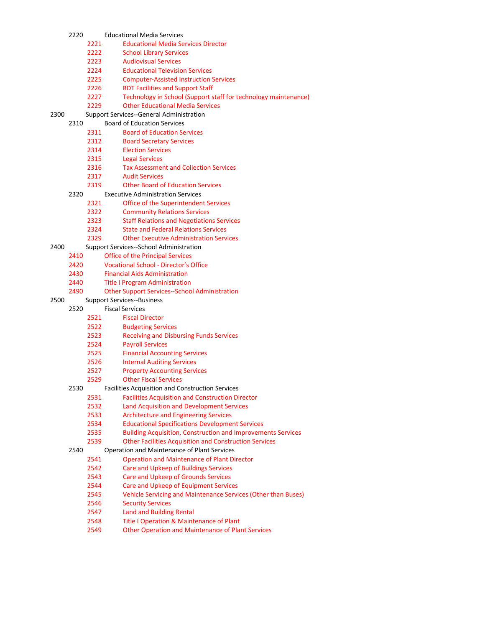|      | 2220 |              | <b>Educational Media Services</b>                                   |
|------|------|--------------|---------------------------------------------------------------------|
|      |      | 2221         | <b>Educational Media Services Director</b>                          |
|      |      | 2222         | <b>School Library Services</b>                                      |
|      |      | 2223         | <b>Audiovisual Services</b>                                         |
|      |      | 2224         | <b>Educational Television Services</b>                              |
|      |      | 2225         | <b>Computer-Assisted Instruction Services</b>                       |
|      |      | 2226         | <b>RDT Facilities and Support Staff</b>                             |
|      |      | 2227         | Technology in School (Support staff for technology maintenance)     |
|      |      | 2229         | <b>Other Educational Media Services</b>                             |
| 2300 |      |              | <b>Support Services--General Administration</b>                     |
|      | 2310 |              | <b>Board of Education Services</b>                                  |
|      |      | 2311         | <b>Board of Education Services</b>                                  |
|      |      | 2312         | <b>Board Secretary Services</b>                                     |
|      |      | 2314         | <b>Election Services</b>                                            |
|      |      | 2315         | <b>Legal Services</b>                                               |
|      |      | 2316         | <b>Tax Assessment and Collection Services</b>                       |
|      |      | 2317         | <b>Audit Services</b>                                               |
|      |      | 2319         | <b>Other Board of Education Services</b>                            |
|      | 2320 |              | <b>Executive Administration Services</b>                            |
|      |      | 2321         |                                                                     |
|      |      |              | Office of the Superintendent Services                               |
|      |      | 2322         | <b>Community Relations Services</b>                                 |
|      |      | 2323<br>2324 | <b>Staff Relations and Negotiations Services</b>                    |
|      |      |              | <b>State and Federal Relations Services</b>                         |
|      |      | 2329         | <b>Other Executive Administration Services</b>                      |
| 2400 |      |              | Support Services--School Administration                             |
|      | 2410 |              | <b>Office of the Principal Services</b>                             |
|      | 2420 |              | <b>Vocational School - Director's Office</b>                        |
|      | 2430 |              | <b>Financial Aids Administration</b>                                |
|      | 2440 |              | <b>Title I Program Administration</b>                               |
|      | 2490 |              | <b>Other Support Services--School Administration</b>                |
| 2500 |      |              | <b>Support Services--Business</b>                                   |
|      | 2520 |              | <b>Fiscal Services</b>                                              |
|      |      | 2521         | <b>Fiscal Director</b>                                              |
|      |      | 2522         | <b>Budgeting Services</b>                                           |
|      |      | 2523         | <b>Receiving and Disbursing Funds Services</b>                      |
|      |      | 2524         | <b>Payroll Services</b>                                             |
|      |      | 2525         | <b>Financial Accounting Services</b>                                |
|      |      | 2526         | <b>Internal Auditing Services</b>                                   |
|      |      | 2527         | <b>Property Accounting Services</b>                                 |
|      |      | 2529         | <b>Other Fiscal Services</b>                                        |
|      | 2530 |              | Facilities Acquisition and Construction Services                    |
|      |      | 2531         | <b>Facilities Acquisition and Construction Director</b>             |
|      |      | 2532         | <b>Land Acquisition and Development Services</b>                    |
|      |      | 2533         | <b>Architecture and Engineering Services</b>                        |
|      |      | 2534         | <b>Educational Specifications Development Services</b>              |
|      |      | 2535         | <b>Building Acquisition, Construction and Improvements Services</b> |
|      |      | 2539         | <b>Other Facilities Acquisition and Construction Services</b>       |
|      | 2540 |              | Operation and Maintenance of Plant Services                         |
|      |      | 2541         | <b>Operation and Maintenance of Plant Director</b>                  |
|      |      | 2542         | <b>Care and Upkeep of Buildings Services</b>                        |
|      |      | 2543         | Care and Upkeep of Grounds Services                                 |
|      |      | 2544         | Care and Upkeep of Equipment Services                               |
|      |      | 2545         | Vehicle Servicing and Maintenance Services (Other than Buses)       |
|      |      | 2546         | <b>Security Services</b>                                            |
|      |      | 2547         | <b>Land and Building Rental</b>                                     |
|      |      | 2548         | Title I Operation & Maintenance of Plant                            |
|      |      | 2549         | <b>Other Operation and Maintenance of Plant Services</b>            |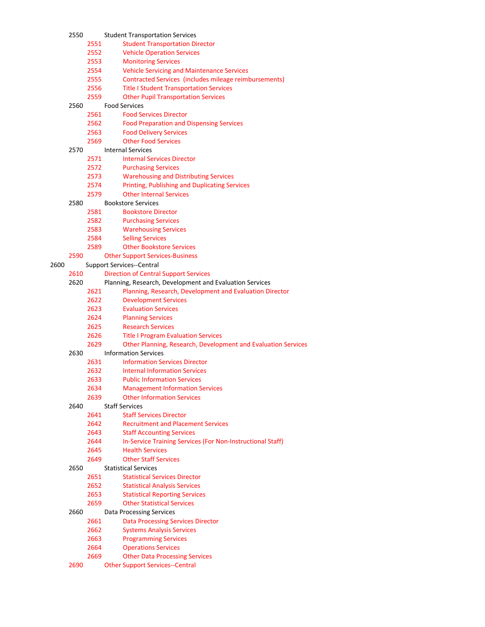|      | 2550 |      | <b>Student Transportation Services</b>                        |
|------|------|------|---------------------------------------------------------------|
|      |      | 2551 | <b>Student Transportation Director</b>                        |
|      |      | 2552 | <b>Vehicle Operation Services</b>                             |
|      |      | 2553 | <b>Monitoring Services</b>                                    |
|      |      | 2554 | <b>Vehicle Servicing and Maintenance Services</b>             |
|      |      | 2555 | Contracted Services (includes mileage reimbursements)         |
|      |      | 2556 | <b>Title I Student Transportation Services</b>                |
|      |      | 2559 | <b>Other Pupil Transportation Services</b>                    |
|      | 2560 |      | <b>Food Services</b>                                          |
|      |      | 2561 | <b>Food Services Director</b>                                 |
|      |      | 2562 | <b>Food Preparation and Dispensing Services</b>               |
|      |      | 2563 | <b>Food Delivery Services</b>                                 |
|      |      | 2569 | <b>Other Food Services</b>                                    |
|      | 2570 |      | <b>Internal Services</b>                                      |
|      |      | 2571 | <b>Internal Services Director</b>                             |
|      |      | 2572 | <b>Purchasing Services</b>                                    |
|      |      | 2573 | <b>Warehousing and Distributing Services</b>                  |
|      |      | 2574 | <b>Printing, Publishing and Duplicating Services</b>          |
|      |      | 2579 | <b>Other Internal Services</b>                                |
|      | 2580 |      | <b>Bookstore Services</b>                                     |
|      |      | 2581 | <b>Bookstore Director</b>                                     |
|      |      | 2582 | <b>Purchasing Services</b>                                    |
|      |      | 2583 | <b>Warehousing Services</b>                                   |
|      |      | 2584 | <b>Selling Services</b>                                       |
|      |      | 2589 | <b>Other Bookstore Services</b>                               |
|      | 2590 |      | <b>Other Support Services-Business</b>                        |
| 2600 |      |      | <b>Support Services--Central</b>                              |
|      | 2610 |      | <b>Direction of Central Support Services</b>                  |
|      | 2620 |      | Planning, Research, Development and Evaluation Services       |
|      |      | 2621 | Planning, Research, Development and Evaluation Director       |
|      |      | 2622 | <b>Development Services</b>                                   |
|      |      | 2623 | <b>Evaluation Services</b>                                    |
|      |      | 2624 | <b>Planning Services</b>                                      |
|      |      | 2625 | <b>Research Services</b>                                      |
|      |      | 2626 | <b>Title I Program Evaluation Services</b>                    |
|      |      | 2629 | Other Planning, Research, Development and Evaluation Services |
|      | 2630 |      | <b>Information Services</b>                                   |
|      |      | 2631 | <b>Information Services Director</b>                          |
|      |      | 2632 | <b>Internal Information Services</b>                          |
|      |      | 2633 | <b>Public Information Services</b>                            |
|      |      | 2634 | <b>Management Information Services</b>                        |
|      |      | 2639 | <b>Other Information Services</b>                             |
|      | 2640 |      | <b>Staff Services</b>                                         |
|      |      | 2641 | <b>Staff Services Director</b>                                |
|      |      | 2642 | <b>Recruitment and Placement Services</b>                     |
|      |      | 2643 | <b>Staff Accounting Services</b>                              |
|      |      | 2644 | In-Service Training Services (For Non-Instructional Staff)    |
|      |      | 2645 | <b>Health Services</b>                                        |
|      |      | 2649 | <b>Other Staff Services</b>                                   |
|      | 2650 |      | <b>Statistical Services</b>                                   |
|      |      | 2651 | <b>Statistical Services Director</b>                          |
|      |      | 2652 | <b>Statistical Analysis Services</b>                          |
|      |      | 2653 | <b>Statistical Reporting Services</b>                         |
|      |      | 2659 | <b>Other Statistical Services</b>                             |
|      | 2660 |      | <b>Data Processing Services</b>                               |
|      |      | 2661 |                                                               |
|      |      | 2662 | <b>Data Processing Services Director</b>                      |
|      |      | 2663 | <b>Systems Analysis Services</b>                              |
|      |      |      | <b>Programming Services</b>                                   |
|      |      | 2664 | <b>Operations Services</b>                                    |
|      |      | 2669 | <b>Other Data Processing Services</b>                         |
|      | 2690 |      | <b>Other Support Services--Central</b>                        |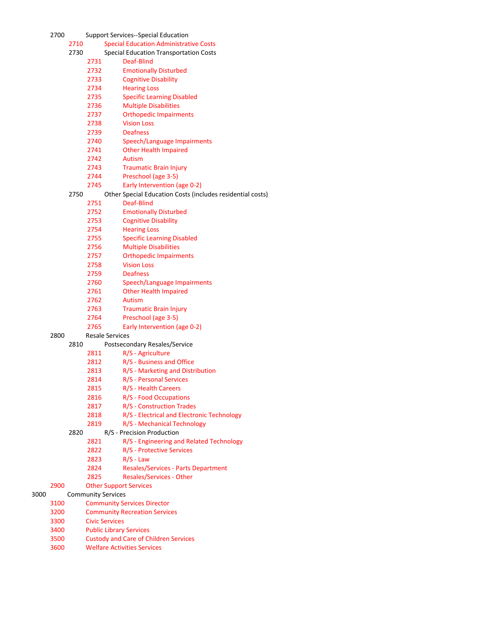| 2700 |      |      | <b>Support Services--Special Education</b>                               |
|------|------|------|--------------------------------------------------------------------------|
|      | 2710 |      | <b>Special Education Administrative Costs</b>                            |
|      | 2730 |      | <b>Special Education Transportation Costs</b>                            |
|      |      | 2731 | Deaf-Blind                                                               |
|      |      | 2732 | <b>Emotionally Disturbed</b>                                             |
|      |      | 2733 | <b>Cognitive Disability</b>                                              |
|      |      | 2734 | <b>Hearing Loss</b>                                                      |
|      |      | 2735 | <b>Specific Learning Disabled</b>                                        |
|      |      | 2736 | <b>Multiple Disabilities</b>                                             |
|      |      | 2737 | <b>Orthopedic Impairments</b>                                            |
|      |      | 2738 | <b>Vision Loss</b>                                                       |
|      |      | 2739 | <b>Deafness</b>                                                          |
|      |      | 2740 | Speech/Language Impairments                                              |
|      |      | 2741 | <b>Other Health Impaired</b>                                             |
|      |      | 2742 | Autism                                                                   |
|      |      | 2743 | <b>Traumatic Brain Injury</b>                                            |
|      |      | 2744 | Preschool (age 3-5)                                                      |
|      |      | 2745 |                                                                          |
|      | 2750 |      | Early Intervention (age 0-2)                                             |
|      |      |      | Other Special Education Costs (includes residential costs)<br>Deaf-Blind |
|      |      | 2751 |                                                                          |
|      |      | 2752 | <b>Emotionally Disturbed</b>                                             |
|      |      | 2753 | <b>Cognitive Disability</b>                                              |
|      |      | 2754 | <b>Hearing Loss</b>                                                      |
|      |      | 2755 | <b>Specific Learning Disabled</b>                                        |
|      |      | 2756 | <b>Multiple Disabilities</b>                                             |
|      |      | 2757 | <b>Orthopedic Impairments</b>                                            |
|      |      | 2758 | <b>Vision Loss</b>                                                       |
|      |      | 2759 | <b>Deafness</b>                                                          |
|      |      | 2760 | Speech/Language Impairments                                              |
|      |      | 2761 | <b>Other Health Impaired</b>                                             |
|      |      | 2762 | Autism                                                                   |
|      |      | 2763 | <b>Traumatic Brain Injury</b>                                            |
|      |      | 2764 | Preschool (age 3-5)                                                      |
|      |      | 2765 | Early Intervention (age 0-2)                                             |
| 2800 |      |      | <b>Resale Services</b>                                                   |
|      | 2810 |      | Postsecondary Resales/Service                                            |
|      |      | 2811 | R/S - Agriculture                                                        |
|      |      | 2812 | R/S - Business and Office                                                |
|      |      | 2813 | R/S - Marketing and Distribution                                         |
|      |      | 2814 | R/S - Personal Services                                                  |
|      |      | 2815 | R/S - Health Careers                                                     |
|      |      | 2816 | R/S - Food Occupations                                                   |
|      |      | 2817 | R/S - Construction Trades                                                |
|      |      | 2818 | R/S - Electrical and Electronic Technology                               |
|      |      | 2819 | R/S - Mechanical Technology                                              |
|      | 2820 |      | R/S - Precision Production                                               |
|      |      | 2821 | R/S - Engineering and Related Technology                                 |
|      |      | 2822 | R/S - Protective Services                                                |
|      |      | 2823 | $R/S$ - Law                                                              |
|      |      | 2824 | <b>Resales/Services - Parts Department</b>                               |
|      |      | 2825 | <b>Resales/Services - Other</b>                                          |
| 2900 |      |      | <b>Other Support Services</b>                                            |
|      |      |      | <b>Community Services</b>                                                |
| 3100 |      |      | <b>Community Services Director</b>                                       |
| 3200 |      |      | <b>Community Recreation Services</b>                                     |
| 3300 |      |      | <b>Civic Services</b>                                                    |
| 3400 |      |      | <b>Public Library Services</b>                                           |
| 3500 |      |      | <b>Custody and Care of Children Services</b>                             |
| 3600 |      |      | <b>Welfare Activities Services</b>                                       |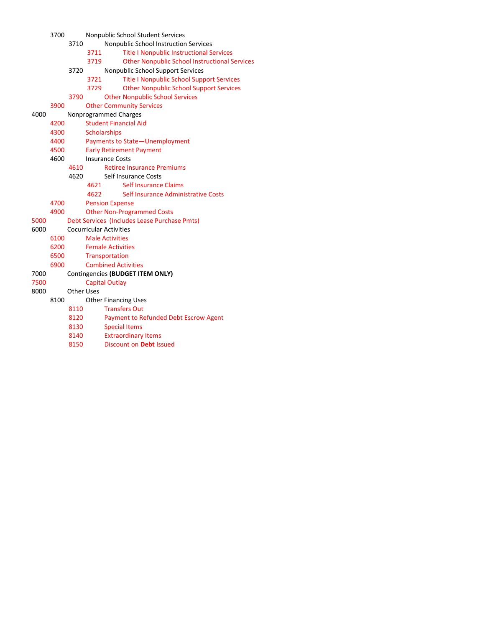| Nonpublic School Instruction Services<br><b>Title I Nonpublic Instructional Services</b> |
|------------------------------------------------------------------------------------------|
|                                                                                          |
|                                                                                          |
| <b>Other Nonpublic School Instructional Services</b>                                     |
| Nonpublic School Support Services                                                        |
| <b>Title I Nonpublic School Support Services</b>                                         |
| <b>Other Nonpublic School Support Services</b>                                           |
| <b>Other Nonpublic School Services</b>                                                   |
|                                                                                          |
|                                                                                          |
|                                                                                          |
|                                                                                          |
| Payments to State-Unemployment                                                           |
|                                                                                          |
|                                                                                          |
|                                                                                          |
|                                                                                          |
|                                                                                          |
| Self Insurance Administrative Costs                                                      |
|                                                                                          |
|                                                                                          |
| Debt Services (Includes Lease Purchase Pmts)                                             |
|                                                                                          |
|                                                                                          |
|                                                                                          |
|                                                                                          |
|                                                                                          |
|                                                                                          |
|                                                                                          |
|                                                                                          |
|                                                                                          |
|                                                                                          |
| Payment to Refunded Debt Escrow Agent                                                    |
|                                                                                          |
|                                                                                          |
|                                                                                          |
|                                                                                          |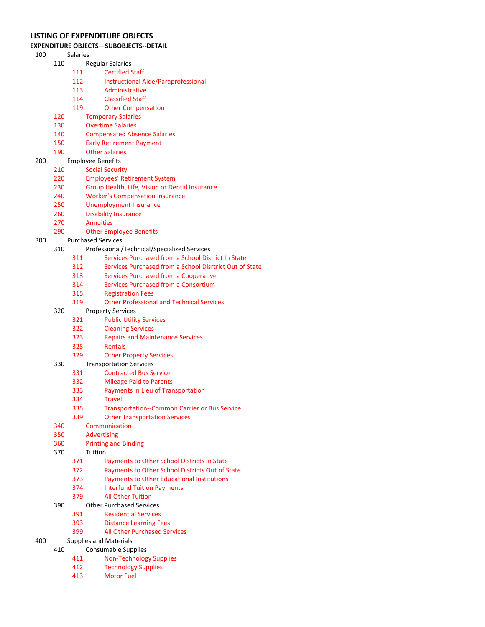## LISTING OF EXPENDITURE OBJECTS

#### EXPENDITURE OBJECTS—SUBOBJECTS--DETAIL

- Salaries
	- Regular Salaries
		- Certified Staff
		- Instructional Aide/Paraprofessional
		- Administrative
		- Classified Staff
		- Other Compensation
	- Temporary Salaries
	- Overtime Salaries
	- Compensated Absence Salaries
	- Early Retirement Payment
	- Other Salaries
- Employee Benefits
	- Social Security
	- 220 Employees' Retirement System<br>230 Group Health, Life, Vision or De
	- Group Health, Life, Vision or Dental Insurance
	- Worker's Compensation Insurance
	- Unemployment Insurance
	- Disability Insurance
	- Annuities
	- Other Employee Benefits
- Purchased Services
	- Professional/Technical/Specialized Services
		- Services Purchased from a School District In State
		- Services Purchased from a School Disrtrict Out of State
		- Services Purchased from a Cooperative
		- Services Purchased from a Consortium
		- Registration Fees
		- Other Professional and Technical Services
	- Property Services
		- Public Utility Services
		- Cleaning Services
		- Repairs and Maintenance Services
		- Rentals
		- Other Property Services
	- Transportation Services
		- Contracted Bus Service
		- Mileage Paid to Parents
		- Payments in Lieu of Transportation
		- Travel
		- Transportation--Common Carrier or Bus Service
		- Other Transportation Services
	- Communication
	- Advertising
	- Printing and Binding
	- Tuition
		- Payments to Other School Districts In State
		- Payments to Other School Districts Out of State
		- Payments to Other Educational Institutions
		- Interfund Tuition Payments
		- All Other Tuition
	- Other Purchased Services
		- Residential Services
		- Distance Learning Fees
		- All Other Purchased Services

## Supplies and Materials

- Consumable Supplies
	- Non-Technology Supplies
	- Technology Supplies
	- Motor Fuel